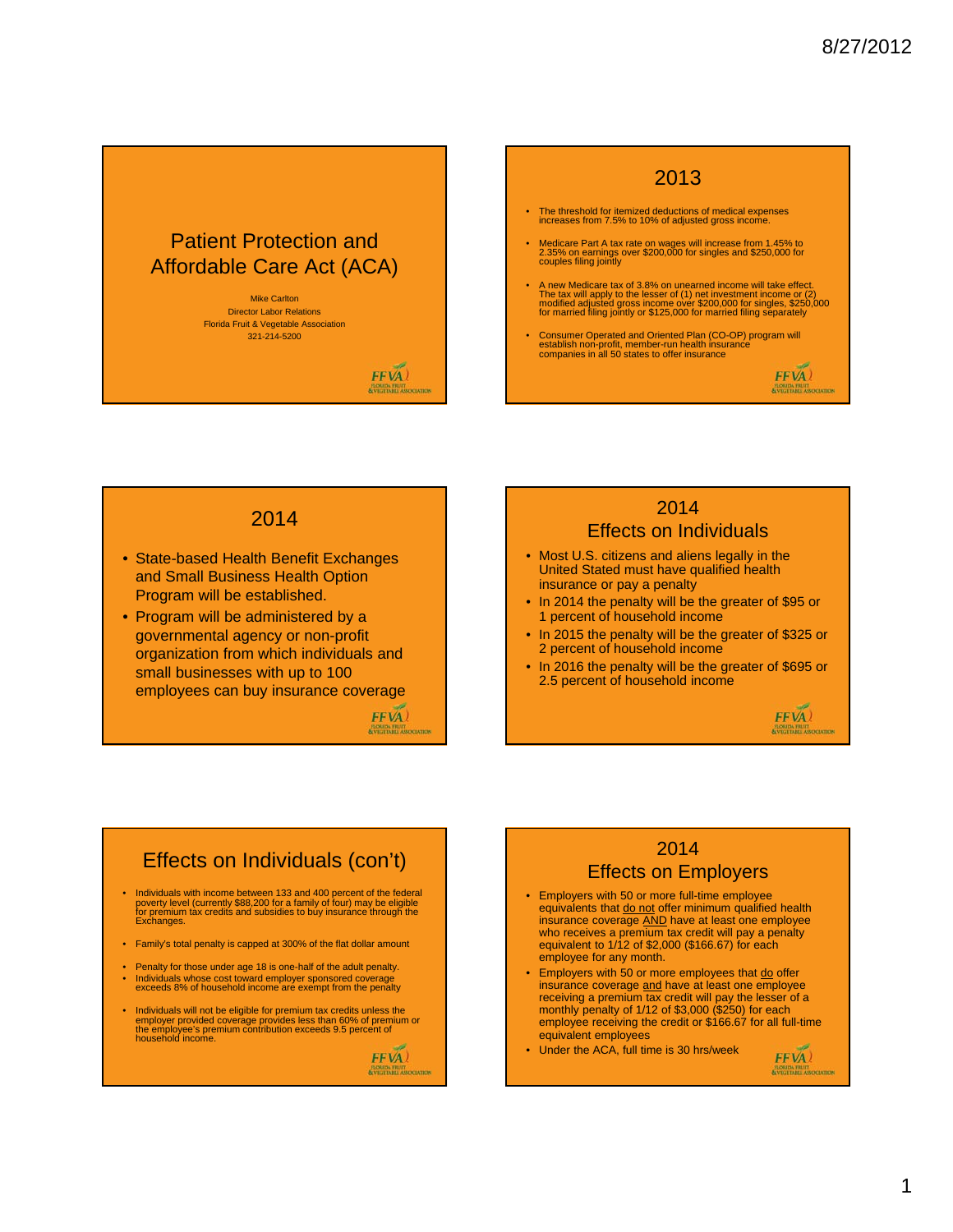# Patient Protection and Affordable Care Act (ACA)

Mike Carlton Director Labor Relations Florida Fruit & Vegetable Association 321-214-5200

FFVA)

#### 2013

- The threshold for itemized deductions of medical expenses increases from 7.5% to 10% of adjusted gross income.
- Medicare Part A tax rate on wages will increase from 1.45% to 2.35% on earnings over \$200,000 for singles and \$250,000 for couples filing jointly
- A new Medicare tax of 3.8% on unearned income will take effect.<br>The tax will apply to the lesser of (1) net investment income or (2)<br>modified adjusted gross income over \$200,000 for singles, \$250,000<br>for married filing j
- Consumer Operated and Oriented Plan (CO-OP) program will establish non-profit, member-run health insurance companies in all 50 states to offer insurance

#### 2014

- State-based Health Benefit Exchanges and Small Business Health Option Program will be established.
- Program will be administered by a governmental agency or non-profit organization from which individuals and small businesses with up to 100 employees can buy insurance coverage

# $FFVA$ )

#### 2014 Effects on Individuals

- Most U.S. citizens and aliens legally in the United Stated must have qualified health insurance or pay a penalty
- In 2014 the penalty will be the greater of \$95 or 1 percent of household income
- In 2015 the penalty will be the greater of \$325 or 2 percent of household income
- In 2016 the penalty will be the greater of \$695 or 2.5 percent of household income



FFVA)

FFVA) **FLORIDA FRUIT** 

### Effects on Individuals (con't)

- Individuals with income between 133 and 400 percent of the federal poverty level (currently \$88,200 for a family of four) may be eligible for premium tax credits and subsidies to buy insurance through the Exchanges.
- Family's total penalty is capped at 300% of the flat dollar amount
- Penalty for those under age 18 is one-half of the adult penalty.
- Individuals whose cost toward employer sponsored coverage exceeds 8% of household income are exempt from the penalty
- Individuals will not be eligible for premium tax credits unless the employer provided coverage provides less than 60% of premium or the employee's premium contribution exceeds 9.5 percent of household income.

FFVA)

## 2014 Effects on Employers

- Employers with 50 or more full-time employee equivalents that do not offer minimum qualified health insurance coverage AND have at least one employee who receives a premium tax credit will pay a penalty equivalent to 1/12 of \$2,000 (\$166.67) for each employee for any month.
- Employers with 50 or more employees that do offer insurance coverage and have at least one employee receiving a premium tax credit will pay the lesser of a monthly penalty of 1/12 of \$3,000 (\$250) for each employee receiving the credit or \$166.67 for all full-time equivalent employees
- Under the ACA, full time is 30 hrs/week